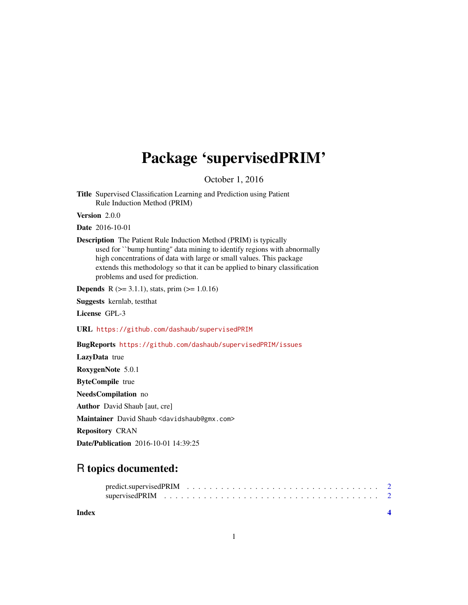### Package 'supervisedPRIM'

October 1, 2016

<span id="page-0-0"></span>Title Supervised Classification Learning and Prediction using Patient Rule Induction Method (PRIM)

Version 2.0.0

Date 2016-10-01

Description The Patient Rule Induction Method (PRIM) is typically used for ``bump hunting'' data mining to identify regions with abnormally high concentrations of data with large or small values. This package extends this methodology so that it can be applied to binary classification problems and used for prediction.

**Depends** R ( $>= 3.1.1$ ), stats, prim ( $>= 1.0.16$ )

Suggests kernlab, testthat

License GPL-3

URL <https://github.com/dashaub/supervisedPRIM>

BugReports <https://github.com/dashaub/supervisedPRIM/issues>

LazyData true RoxygenNote 5.0.1 ByteCompile true NeedsCompilation no Author David Shaub [aut, cre] Maintainer David Shaub <davidshaub@gmx.com> Repository CRAN Date/Publication 2016-10-01 14:39:25

## R topics documented:

| supervised PRIM $\ldots \ldots \ldots \ldots \ldots \ldots \ldots \ldots \ldots \ldots \ldots \ldots \ldots$ |  |  |  |  |  |  |  |  |  |  |  |  |  |  |  |  |
|--------------------------------------------------------------------------------------------------------------|--|--|--|--|--|--|--|--|--|--|--|--|--|--|--|--|

**Index** [4](#page-3-0)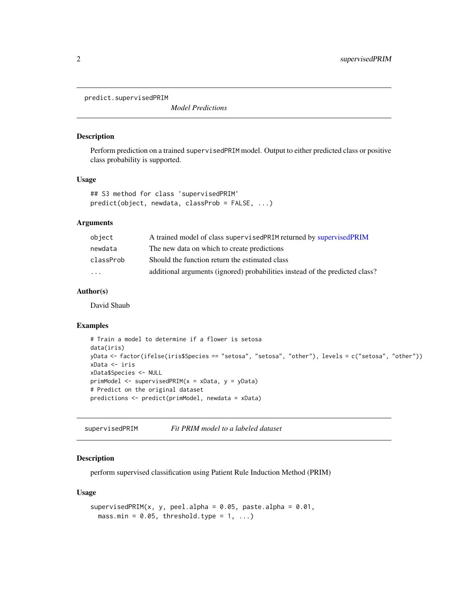<span id="page-1-0"></span>predict.supervisedPRIM

*Model Predictions*

#### Description

Perform prediction on a trained supervisedPRIM model. Output to either predicted class or positive class probability is supported.

#### Usage

```
## S3 method for class 'supervisedPRIM'
predict(object, newdata, classProb = FALSE, ...)
```
#### Arguments

| object    | A trained model of class supervisedPRIM returned by supervisedPRIM           |
|-----------|------------------------------------------------------------------------------|
| newdata   | The new data on which to create predictions                                  |
| classProb | Should the function return the estimated class                               |
| $\cdot$   | additional arguments (ignored) probabilities instead of the predicted class? |

#### Author(s)

David Shaub

#### Examples

```
# Train a model to determine if a flower is setosa
data(iris)
yData <- factor(ifelse(iris$Species == "setosa", "setosa", "other"), levels = c("setosa", "other"))
xData <- iris
xData$Species <- NULL
primModel <- supervisedPRIM(x = xData, y = yData)
# Predict on the original dataset
predictions <- predict(primModel, newdata = xData)
```
<span id="page-1-1"></span>supervisedPRIM *Fit PRIM model to a labeled dataset*

#### Description

perform supervised classification using Patient Rule Induction Method (PRIM)

#### Usage

```
supervisedPRIM(x, y, peel.alpha = 0.05, paste.alpha = 0.01,
 mass.min = 0.05, threshold.type = 1, ...)
```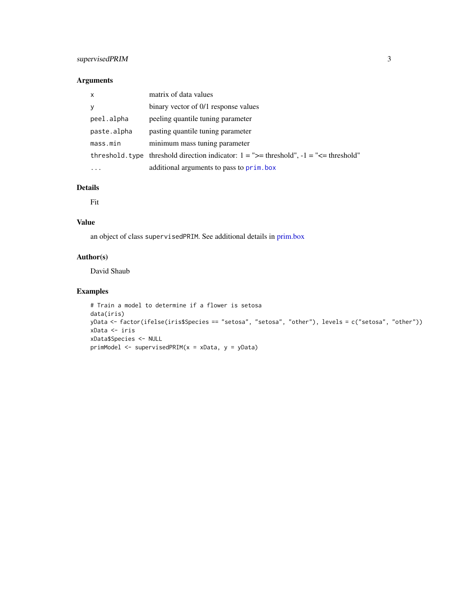#### <span id="page-2-0"></span>supervisedPRIM 3

#### Arguments

| $\mathsf{x}$ | matrix of data values                                                                          |
|--------------|------------------------------------------------------------------------------------------------|
| v            | binary vector of 0/1 response values                                                           |
| peel.alpha   | peeling quantile tuning parameter                                                              |
| paste.alpha  | pasting quantile tuning parameter                                                              |
| mass.min     | minimum mass tuning parameter                                                                  |
|              | threshold. type threshold direction indicator: $1 =$ ">= threshold", $-1 =$ " $\le$ threshold" |
|              | additional arguments to pass to prim. box                                                      |

#### Details

Fit

#### Value

an object of class supervisedPRIM. See additional details in [prim.box](#page-0-0)

#### Author(s)

David Shaub

#### Examples

```
# Train a model to determine if a flower is setosa
data(iris)
yData <- factor(ifelse(iris$Species == "setosa", "setosa", "other"), levels = c("setosa", "other"))
xData <- iris
xData$Species <- NULL
primModel <- supervisedPRIM(x = xData, y = yData)
```